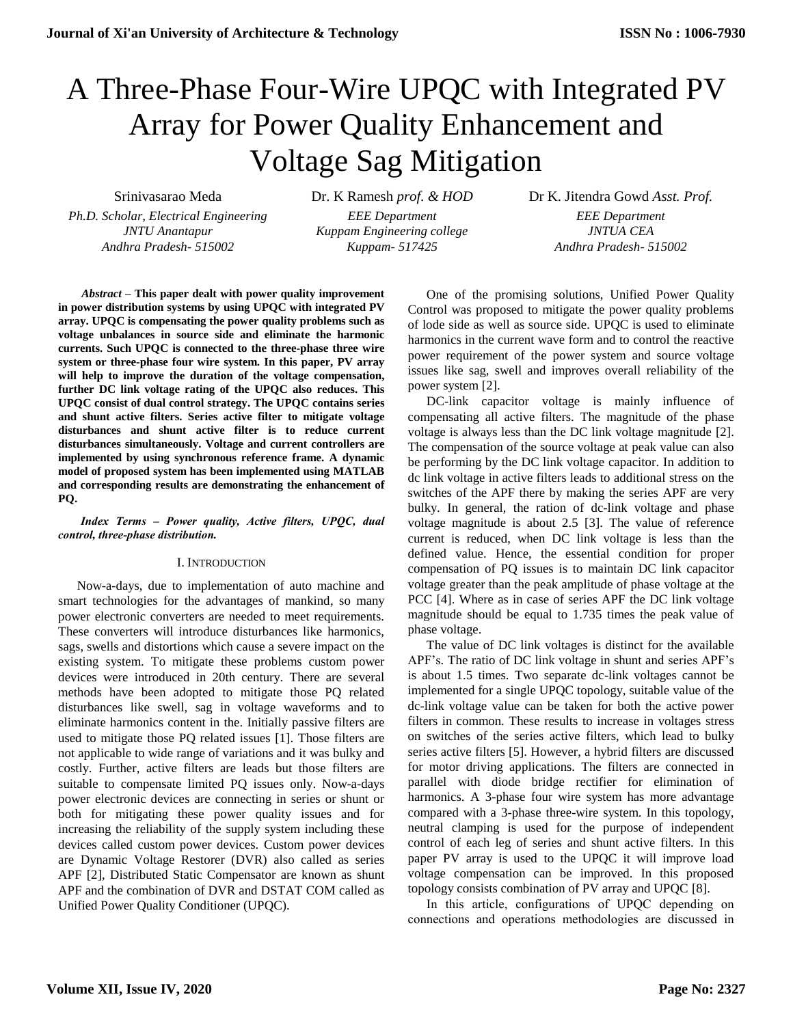# A Three-Phase Four-Wire UPQC with Integrated PV Array for Power Quality Enhancement and Voltage Sag Mitigation

*Ph.D. Scholar, Electrical Engineering EEE Department EEE Department Andhra Pradesh- 515002 Kuppam- 517425 Andhra Pradesh- 515002*

*JNTU Anantapur Kuppam Engineering college JNTUA CEA*

Srinivasarao Meda Dr. K Ramesh *prof. & HOD* Dr K. Jitendra Gowd *Asst. Prof.*

*Abstract* **– This paper dealt with power quality improvement in power distribution systems by using UPQC with integrated PV array. UPQC is compensating the power quality problems such as voltage unbalances in source side and eliminate the harmonic currents. Such UPQC is connected to the three-phase three wire system or three-phase four wire system. In this paper, PV array will help to improve the duration of the voltage compensation, further DC link voltage rating of the UPQC also reduces. This UPQC consist of dual control strategy. The UPQC contains series and shunt active filters. Series active filter to mitigate voltage disturbances and shunt active filter is to reduce current disturbances simultaneously. Voltage and current controllers are implemented by using synchronous reference frame. A dynamic model of proposed system has been implemented using MATLAB and corresponding results are demonstrating the enhancement of PQ.**

*Index Terms – Power quality, Active filters, UPQC, dual control, three-phase distribution.*

## I. INTRODUCTION

Now-a-days, due to implementation of auto machine and smart technologies for the advantages of mankind, so many power electronic converters are needed to meet requirements. These converters will introduce disturbances like harmonics, sags, swells and distortions which cause a severe impact on the existing system. To mitigate these problems custom power devices were introduced in 20th century. There are several methods have been adopted to mitigate those PQ related disturbances like swell, sag in voltage waveforms and to eliminate harmonics content in the. Initially passive filters are used to mitigate those PQ related issues [1]. Those filters are not applicable to wide range of variations and it was bulky and costly. Further, active filters are leads but those filters are suitable to compensate limited PQ issues only. Now-a-days power electronic devices are connecting in series or shunt or both for mitigating these power quality issues and for increasing the reliability of the supply system including these devices called custom power devices. Custom power devices are Dynamic Voltage Restorer (DVR) also called as series APF [2], Distributed Static Compensator are known as shunt APF and the combination of DVR and DSTAT COM called as Unified Power Quality Conditioner (UPQC).

One of the promising solutions, Unified Power Quality Control was proposed to mitigate the power quality problems of lode side as well as source side. UPQC is used to eliminate harmonics in the current wave form and to control the reactive power requirement of the power system and source voltage issues like sag, swell and improves overall reliability of the power system [2].

DC-link capacitor voltage is mainly influence of compensating all active filters. The magnitude of the phase voltage is always less than the DC link voltage magnitude [2]. The compensation of the source voltage at peak value can also be performing by the DC link voltage capacitor. In addition to dc link voltage in active filters leads to additional stress on the switches of the APF there by making the series APF are very bulky. In general, the ration of dc-link voltage and phase voltage magnitude is about 2.5 [3]. The value of reference current is reduced, when DC link voltage is less than the defined value. Hence, the essential condition for proper compensation of PQ issues is to maintain DC link capacitor voltage greater than the peak amplitude of phase voltage at the PCC [4]. Where as in case of series APF the DC link voltage magnitude should be equal to 1.735 times the peak value of phase voltage.

The value of DC link voltages is distinct for the available APF's. The ratio of DC link voltage in shunt and series APF's is about 1.5 times. Two separate dc-link voltages cannot be implemented for a single UPQC topology, suitable value of the dc-link voltage value can be taken for both the active power filters in common. These results to increase in voltages stress on switches of the series active filters, which lead to bulky series active filters [5]. However, a hybrid filters are discussed for motor driving applications. The filters are connected in parallel with diode bridge rectifier for elimination of harmonics. A 3-phase four wire system has more advantage compared with a 3-phase three-wire system. In this topology, neutral clamping is used for the purpose of independent control of each leg of series and shunt active filters. In this paper PV array is used to the UPQC it will improve load voltage compensation can be improved. In this proposed topology consists combination of PV array and UPQC [8].

In this article, configurations of UPQC depending on connections and operations methodologies are discussed in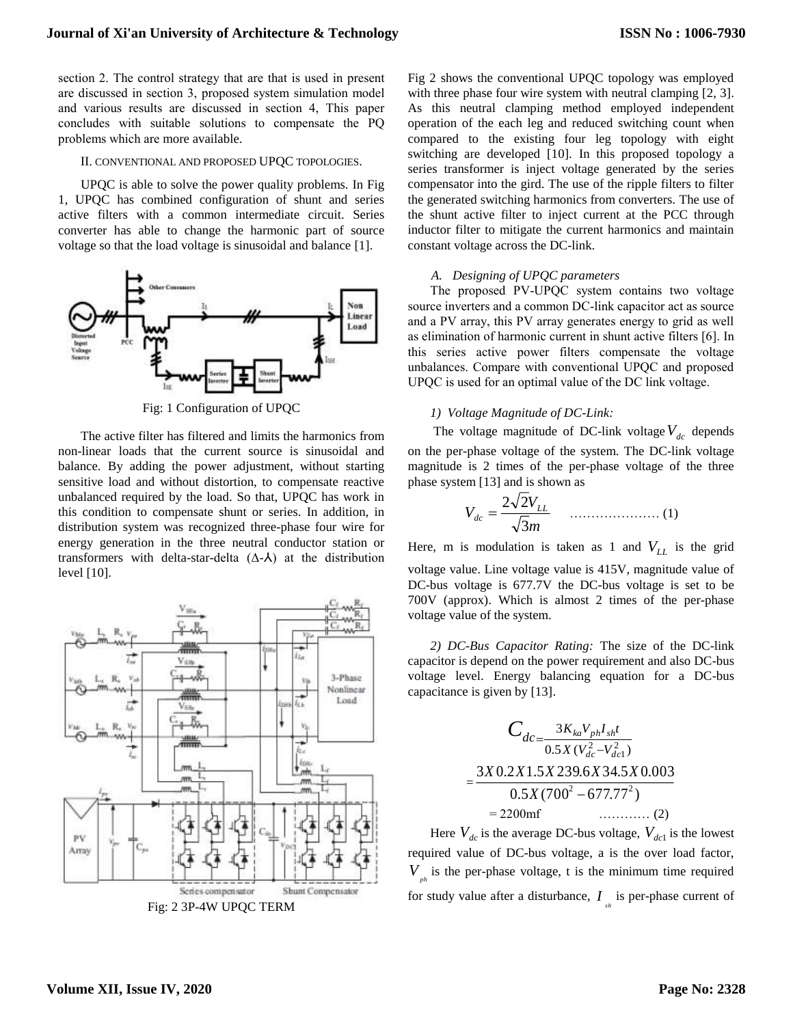section 2. The control strategy that are that is used in present are discussed in section 3, proposed system simulation model and various results are discussed in section 4, This paper concludes with suitable solutions to compensate the PQ problems which are more available.

#### II. CONVENTIONAL AND PROPOSED UPQC TOPOLOGIES.

UPQC is able to solve the power quality problems. In Fig 1, UPQC has combined configuration of shunt and series active filters with a common intermediate circuit. Series converter has able to change the harmonic part of source voltage so that the load voltage is sinusoidal and balance [1].



Fig: 1 Configuration of UPQC

The active filter has filtered and limits the harmonics from non-linear loads that the current source is sinusoidal and balance. By adding the power adjustment, without starting sensitive load and without distortion, to compensate reactive unbalanced required by the load. So that, UPQC has work in this condition to compensate shunt or series. In addition, in distribution system was recognized three-phase four wire for energy generation in the three neutral conductor station or transformers with delta-star-delta  $(Δ-A)$  at the distribution level [10].



Fig: 2 3P-4W UPQC TERM

Fig 2 shows the conventional UPQC topology was employed with three phase four wire system with neutral clamping [2, 3]. As this neutral clamping method employed independent operation of the each leg and reduced switching count when compared to the existing four leg topology with eight switching are developed [10]. In this proposed topology a series transformer is inject voltage generated by the series compensator into the gird. The use of the ripple filters to filter the generated switching harmonics from converters. The use of the shunt active filter to inject current at the PCC through inductor filter to mitigate the current harmonics and maintain constant voltage across the DC-link.

#### *A. Designing of UPQC parameters*

The proposed PV-UPQC system contains two voltage source inverters and a common DC-link capacitor act as source and a PV array, this PV array generates energy to grid as well as elimination of harmonic current in shunt active filters [6]. In this series active power filters compensate the voltage unbalances. Compare with conventional UPQC and proposed UPQC is used for an optimal value of the DC link voltage.

#### *1) Voltage Magnitude of DC-Link:*

The voltage magnitude of DC-link voltage  $V_{dc}$  depends on the per-phase voltage of the system. The DC-link voltage magnitude is 2 times of the per-phase voltage of the three phase system [13] and is shown as

$$
V_{dc} = \frac{2\sqrt{2}V_{LL}}{\sqrt{3}m}
$$
 (1)

Here, m is modulation is taken as 1 and *VLL* is the grid

voltage value. Line voltage value is 415V, magnitude value of DC-bus voltage is 677.7V the DC-bus voltage is set to be 700V (approx). Which is almost 2 times of the per-phase voltage value of the system.

*2) DC-Bus Capacitor Rating:* The size of the DC-link capacitor is depend on the power requirement and also DC-bus voltage level. Energy balancing equation for a DC-bus capacitance is given by [13].

$$
C_{dc} = \frac{3K_{ka}V_{ph}I_{sh}t}{0.5X(V_{dc}^2 - V_{dc1}^2)}
$$
  
= 
$$
\frac{3X0.2X1.5X239.6X34.5X0.003}{0.5X(700^2 - 677.77^2)}
$$
  
= 2200mf (2)

Here  $V_{dc}$  is the average DC-bus voltage,  $V_{dc1}$  is the lowest required value of DC-bus voltage, a is the over load factor,  $V_{p<sub>h</sub>}$  is the per-phase voltage, t is the minimum time required for study value after a disturbance,  $I_{s_h}$  is per-phase current of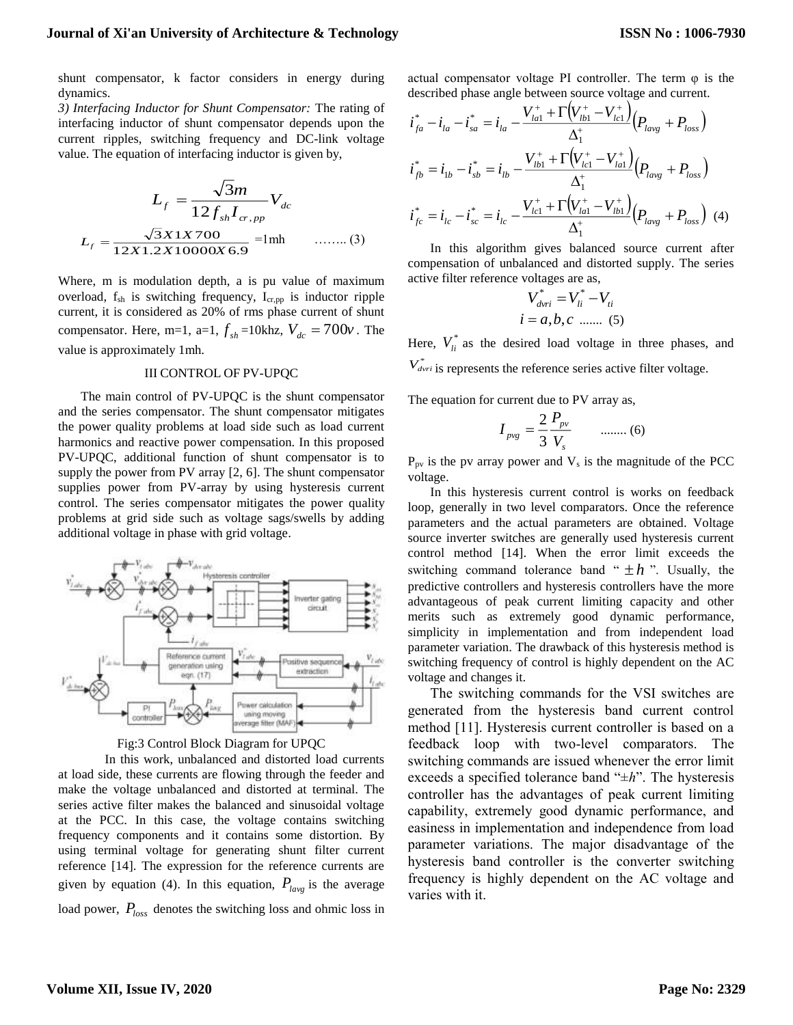shunt compensator, k factor considers in energy during dynamics.

*3) Interfacing Inductor for Shunt Compensator:* The rating of interfacing inductor of shunt compensator depends upon the current ripples, switching frequency and DC-link voltage value. The equation of interfacing inductor is given by,

$$
L_{f} = \frac{\sqrt{3}m}{12f_{sh}I_{cr,pp}}V_{dc}
$$

$$
L_{f} = \frac{\sqrt{3}X1X700}{12X1.2X10000X6.9} = 1 \text{mh} \qquad \qquad (3)
$$

Where, m is modulation depth, a is pu value of maximum overload, fsh is switching frequency, Icr,pp is inductor ripple current, it is considered as 20% of rms phase current of shunt compensator. Here, m=1, a=1,  $f_{sh}$ =10khz,  $V_{dc}$  = 700 $\nu$ . The value is approximately 1mh.

#### III CONTROL OF PV-UPQC

The main control of PV-UPQC is the shunt compensator and the series compensator. The shunt compensator mitigates the power quality problems at load side such as load current harmonics and reactive power compensation. In this proposed PV-UPQC, additional function of shunt compensator is to supply the power from PV array [2, 6]. The shunt compensator supplies power from PV-array by using hysteresis current control. The series compensator mitigates the power quality problems at grid side such as voltage sags/swells by adding additional voltage in phase with grid voltage.





In this work, unbalanced and distorted load currents at load side, these currents are flowing through the feeder and make the voltage unbalanced and distorted at terminal. The series active filter makes the balanced and sinusoidal voltage at the PCC. In this case, the voltage contains switching frequency components and it contains some distortion. By using terminal voltage for generating shunt filter current reference [14]. The expression for the reference currents are given by equation (4). In this equation,  $P_{\text{large}}$  is the average load power,  $P_{loss}$  denotes the switching loss and ohmic loss in actual compensator voltage PI controller. The term  $\varphi$  is the described phase angle between source voltage and current.

$$
i_{fa}^{*} - i_{la} - i_{sa}^{*} = i_{la} - \frac{V_{la1}^{+} + \Gamma(V_{lb1}^{+} - V_{lc1}^{+})}{\Delta_{1}^{+}} (P_{lavg} + P_{loss})
$$
  
\n
$$
i_{fb}^{*} = i_{1b} - i_{sb}^{*} = i_{lb} - \frac{V_{lb1}^{+} + \Gamma(V_{lc1}^{+} - V_{lat}^{+})}{\Delta_{1}^{+}} (P_{lavg} + P_{loss})
$$
  
\n
$$
i_{fc}^{*} = i_{lc} - i_{sc}^{*} = i_{lc} - \frac{V_{lc1}^{+} + \Gamma(V_{la1}^{+} - V_{lb1}^{+})}{\Delta_{1}^{+}} (P_{lavg} + P_{loss})
$$
 (4)

In this algorithm gives balanced source current after compensation of unbalanced and distorted supply. The series active filter reference voltages are as,

$$
V_{\text{drri}}^* = V_{li}^* - V_{\text{ri}}
$$
  
 $i = a, b, c \dots (5)$ 

Here,  $V_{li}^*$  as the desired load voltage in three phases, and  $V^*_{\text{drri}}$  is represents the reference series active filter voltage.

The equation for current due to PV array as,

$$
I_{\text{pvg}} = \frac{2}{3} \frac{P_{\text{pv}}}{V_s} \qquad \dots \dots \dots (6)
$$

 $P_{pv}$  is the pv array power and  $V_s$  is the magnitude of the PCC voltage.

In this hysteresis current control is works on feedback loop, generally in two level comparators. Once the reference parameters and the actual parameters are obtained. Voltage source inverter switches are generally used hysteresis current control method [14]. When the error limit exceeds the switching command tolerance band " $\pm h$ ". Usually, the predictive controllers and hysteresis controllers have the more advantageous of peak current limiting capacity and other merits such as extremely good dynamic performance, simplicity in implementation and from independent load parameter variation. The drawback of this hysteresis method is switching frequency of control is highly dependent on the AC voltage and changes it.

The switching commands for the VSI switches are generated from the hysteresis band current control method [11]. Hysteresis current controller is based on a feedback loop with two-level comparators. The switching commands are issued whenever the error limit exceeds a specified tolerance band "±*h*". The hysteresis controller has the advantages of peak current limiting capability, extremely good dynamic performance, and easiness in implementation and independence from load parameter variations. The major disadvantage of the hysteresis band controller is the converter switching frequency is highly dependent on the AC voltage and varies with it.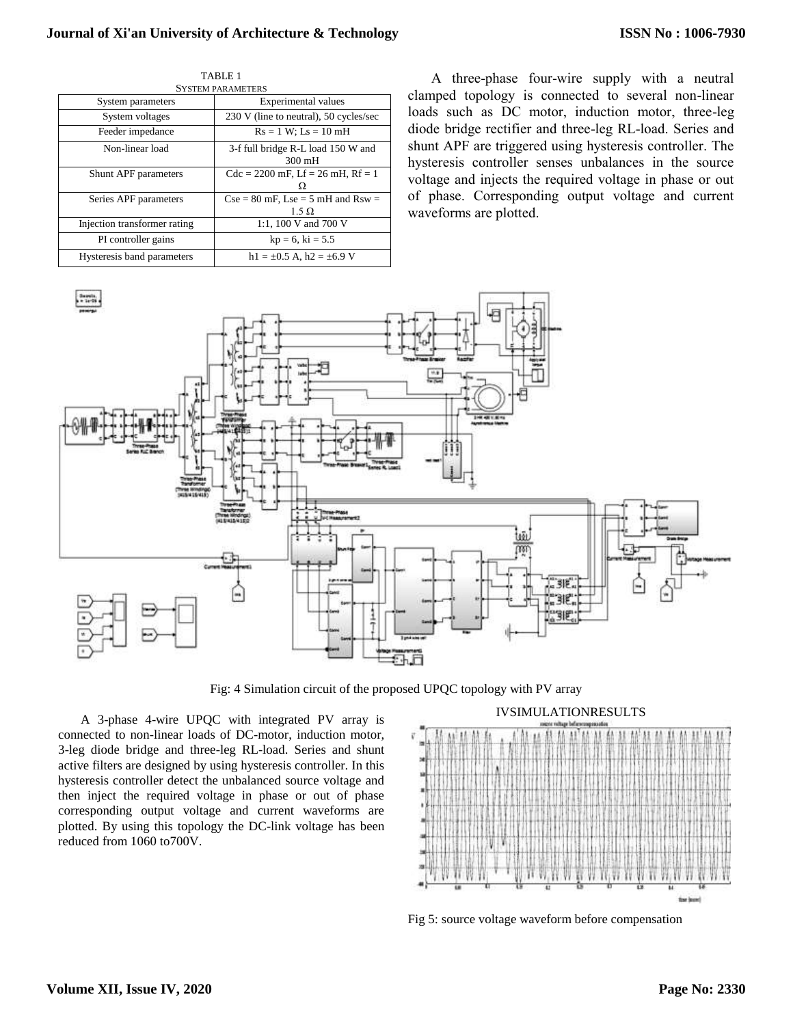# **Journal of Xi'an University of Architecture & Technology**

| <b>SYSTEM PARAMETERS</b>     |                                                        |
|------------------------------|--------------------------------------------------------|
| System parameters            | Experimental values                                    |
| System voltages              | 230 V (line to neutral), 50 cycles/sec                 |
| Feeder impedance             | $Rs = 1 W$ ; $Ls = 10 mH$                              |
| Non-linear load              | 3-f full bridge R-L load 150 W and<br>$300 \text{ mH}$ |
| Shunt APF parameters         | $Cdc = 2200$ mF, $Lf = 26$ mH, $Rf = 1$<br>O           |
| Series APF parameters        | $Cse = 80$ mF, Lse = 5 mH and Rsw =<br>$1.5 \Omega$    |
| Injection transformer rating | 1:1, 100 V and 700 V                                   |
| PI controller gains          | $kp = 6$ , $ki = 5.5$                                  |
| Hysteresis band parameters   | $h1 = \pm 0.5$ A, $h2 = \pm 6.9$ V                     |

TABLE 1

A three-phase four-wire supply with a neutral clamped topology is connected to several non-linear loads such as DC motor, induction motor, three-leg diode bridge rectifier and three-leg RL-load. Series and shunt APF are triggered using hysteresis controller. The hysteresis controller senses unbalances in the source voltage and injects the required voltage in phase or out of phase. Corresponding output voltage and current waveforms are plotted.



Fig: 4 Simulation circuit of the proposed UPQC topology with PV array

A 3-phase 4-wire UPQC with integrated PV array is connected to non-linear loads of DC-motor, induction motor, 3-leg diode bridge and three-leg RL-load. Series and shunt active filters are designed by using hysteresis controller. In this hysteresis controller detect the unbalanced source voltage and then inject the required voltage in phase or out of phase corresponding output voltage and current waveforms are plotted. By using this topology the DC-link voltage has been reduced from 1060 to700V.



Fig 5: source voltage waveform before compensation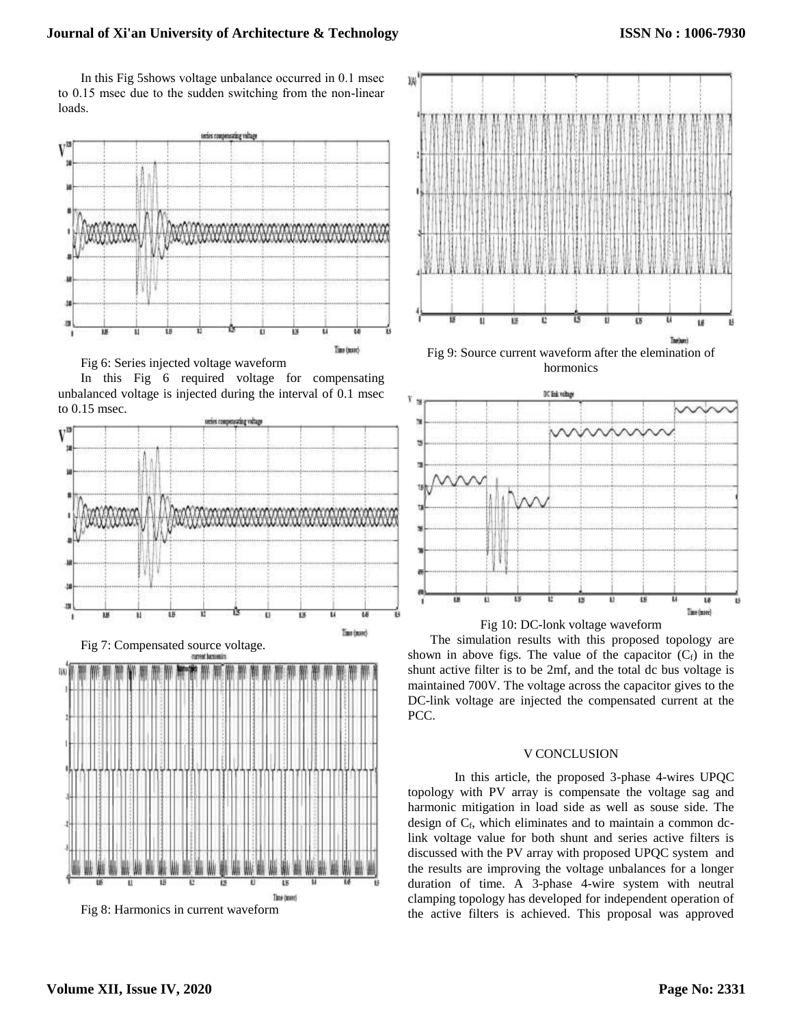In this Fig 5shows voltage unbalance occurred in 0.1 msec to 0.15 msec due to the sudden switching from the non-linear loads.













Fig 9: Source current waveform after the elemination of hormonics





The simulation results with this proposed topology are shown in above figs. The value of the capacitor  $(C_f)$  in the shunt active filter is to be 2mf, and the total dc bus voltage is maintained 700V. The voltage across the capacitor gives to the DC-link voltage are injected the compensated current at the PCC.

### V CONCLUSION

In this article, the proposed 3-phase 4-wires UPQC topology with PV array is compensate the voltage sag and harmonic mitigation in load side as well as souse side. The design of  $C_f$ , which eliminates and to maintain a common dclink voltage value for both shunt and series active filters is discussed with the PV array with proposed UPQC system and the results are improving the voltage unbalances for a longer duration of time. A 3-phase 4-wire system with neutral clamping topology has developed for independent operation of the active filters is achieved. This proposal was approved